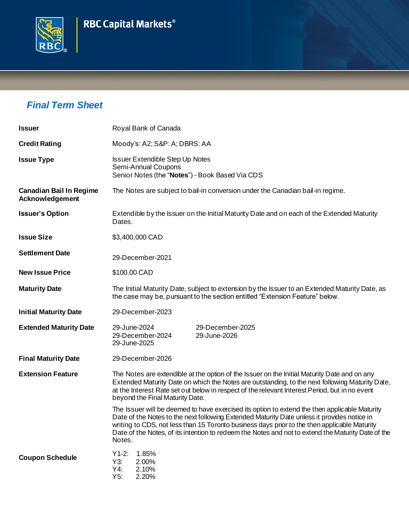## **RBC Capital Markets<sup>®</sup>**



## *Final Term Sheet*

| <b>Issuer</b>                                     | Royal Bank of Canada                                                                                                                                                                                                                                                                                                                                                                                         |  |
|---------------------------------------------------|--------------------------------------------------------------------------------------------------------------------------------------------------------------------------------------------------------------------------------------------------------------------------------------------------------------------------------------------------------------------------------------------------------------|--|
| <b>Credit Rating</b>                              | Moody's: A2; S&P: A; DBRS: AA                                                                                                                                                                                                                                                                                                                                                                                |  |
| <b>Issue Type</b>                                 | <b>Issuer Extendible Step Up Notes</b><br>Semi-Annual Coupons<br>Senior Notes (the "Notes") - Book Based Via CDS                                                                                                                                                                                                                                                                                             |  |
| <b>Canadian Bail In Regime</b><br>Acknowledgement | The Notes are subject to bail-in conversion under the Canadian bail-in regime.                                                                                                                                                                                                                                                                                                                               |  |
| <b>Issuer's Option</b>                            | Extendible by the Issuer on the Initial Maturity Date and on each of the Extended Maturity<br>Dates.                                                                                                                                                                                                                                                                                                         |  |
| <b>Issue Size</b>                                 | \$3,400,000 CAD                                                                                                                                                                                                                                                                                                                                                                                              |  |
| <b>Settlement Date</b>                            | 29-December-2021                                                                                                                                                                                                                                                                                                                                                                                             |  |
| <b>New Issue Price</b>                            | \$100.00 CAD                                                                                                                                                                                                                                                                                                                                                                                                 |  |
| <b>Maturity Date</b>                              | The Initial Maturity Date, subject to extension by the Issuer to an Extended Maturity Date, as<br>the case may be, pursuant to the section entitled "Extension Feature" below.                                                                                                                                                                                                                               |  |
| <b>Initial Maturity Date</b>                      | 29-December-2023                                                                                                                                                                                                                                                                                                                                                                                             |  |
| <b>Extended Maturity Date</b>                     | 29-December-2025<br>29-June-2024<br>29-June-2026<br>29-December-2024<br>29-June-2025                                                                                                                                                                                                                                                                                                                         |  |
| <b>Final Maturity Date</b>                        | 29-December-2026                                                                                                                                                                                                                                                                                                                                                                                             |  |
| <b>Extension Feature</b>                          | The Notes are extendible at the option of the Issuer on the Initial Maturity Date and on any<br>Extended Maturity Date on which the Notes are outstanding, to the next following Maturity Date,<br>at the Interest Rate set out below in respect of the relevant Interest Period, but in no event<br>beyond the Final Maturity Date.                                                                         |  |
|                                                   | The Issuer will be deemed to have exercised its option to extend the then applicable Maturity<br>Date of the Notes to the next following Extended Maturity Date unless it provides notice in<br>writing to CDS, not less than 15 Toronto business days prior to the then applicable Maturity<br>Date of the Notes, of its intention to redeem the Notes and not to extend the Maturity Date of the<br>Notes. |  |
| <b>Coupon Schedule</b>                            | $Y1-2:$<br>1.85%<br>Y3:<br>2.00%<br>Y4:<br>2.10%<br>Y5:<br>2.20%                                                                                                                                                                                                                                                                                                                                             |  |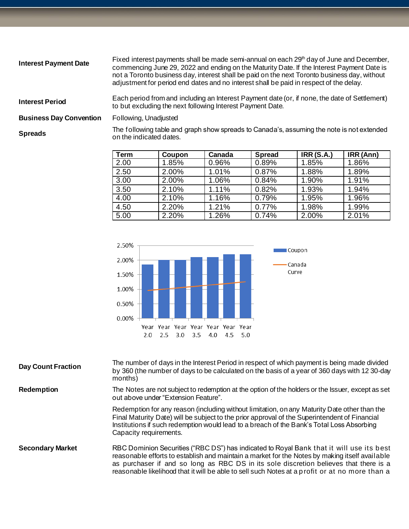| <b>Interest Payment Date</b>   | Fixed interest payments shall be made semi-annual on each 29 <sup>th</sup> day of June and December,<br>commencing June 29, 2022 and ending on the Maturity Date. If the Interest Payment Date is<br>not a Toronto business day, interest shall be paid on the next Toronto business day, without<br>adjustment for period end dates and no interest shall be paid in respect of the delay. |
|--------------------------------|---------------------------------------------------------------------------------------------------------------------------------------------------------------------------------------------------------------------------------------------------------------------------------------------------------------------------------------------------------------------------------------------|
| <b>Interest Period</b>         | Each period from and including an Interest Payment date (or, if none, the date of Settlement)<br>to but excluding the next following Interest Payment Date.                                                                                                                                                                                                                                 |
| <b>Business Day Convention</b> | Following, Unadjusted                                                                                                                                                                                                                                                                                                                                                                       |
| <b>Spreads</b>                 | The following table and graph show spreads to Canada's, assuming the note is not extended<br>on the indicated dates.                                                                                                                                                                                                                                                                        |

| Term | Coupon | Canada | <b>Spread</b> | <b>IRR (S.A.)</b> | IRR (Ann) |
|------|--------|--------|---------------|-------------------|-----------|
| 2.00 | 1.85%  | 0.96%  | 0.89%         | 1.85%             | 1.86%     |
| 2.50 | 2.00%  | 1.01%  | 0.87%         | 1.88%             | 1.89%     |
| 3.00 | 2.00%  | 1.06%  | 0.84%         | 1.90%             | 1.91%     |
| 3.50 | 2.10%  | 1.11%  | 0.82%         | 1.93%             | 1.94%     |
| 4.00 | 2.10%  | 1.16%  | 0.79%         | 1.95%             | 1.96%     |
| 4.50 | 2.20%  | 1.21%  | 0.77%         | 1.98%             | 1.99%     |
| 5.00 | 2.20%  | 1.26%  | 0.74%         | 2.00%             | 2.01%     |



| <b>Day Count Fraction</b> | The number of days in the Interest Period in respect of which payment is being made divided<br>by 360 (the number of days to be calculated on the basis of a year of 360 days with 12 30-day<br>months)                                                                                                                                                                               |
|---------------------------|---------------------------------------------------------------------------------------------------------------------------------------------------------------------------------------------------------------------------------------------------------------------------------------------------------------------------------------------------------------------------------------|
| <b>Redemption</b>         | The Notes are not subject to redemption at the option of the holders or the Issuer, except as set<br>out above under "Extension Feature".                                                                                                                                                                                                                                             |
|                           | Redemption for any reason (including without limitation, on any Maturity Date other than the<br>Final Maturity Date) will be subject to the prior approval of the Superintendent of Financial<br>Institutions if such redemption would lead to a breach of the Bank's Total Loss Absorbing<br>Capacity requirements.                                                                  |
| <b>Secondary Market</b>   | RBC Dominion Securities ("RBC DS") has indicated to Royal Bank that it will use its best<br>reasonable efforts to establish and maintain a market for the Notes by making itself available<br>as purchaser if and so long as RBC DS in its sole discretion believes that there is a<br>reasonable likelihood that it will be able to sell such Notes at a profit or at no more than a |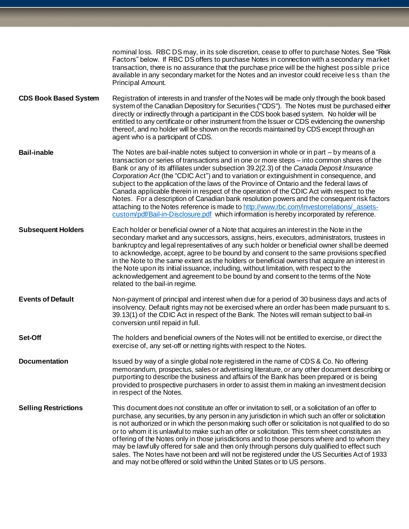|                              | nominal loss. RBC DS may, in its sole discretion, cease to offer to purchase Notes. See "Risk<br>Factors" below. If RBC DS offers to purchase Notes in connection with a secondary market<br>transaction, there is no assurance that the purchase price will be the highest possible price<br>available in any secondary market for the Notes and an investor could receive less than the<br>Principal Amount.                                                                                                                                                                                                                                                                                                                                                                                                                                                  |
|------------------------------|-----------------------------------------------------------------------------------------------------------------------------------------------------------------------------------------------------------------------------------------------------------------------------------------------------------------------------------------------------------------------------------------------------------------------------------------------------------------------------------------------------------------------------------------------------------------------------------------------------------------------------------------------------------------------------------------------------------------------------------------------------------------------------------------------------------------------------------------------------------------|
| <b>CDS Book Based System</b> | Registration of interests in and transfer of the Notes will be made only through the book based<br>system of the Canadian Depository for Securities ("CDS"). The Notes must be purchased either<br>directly or indirectly through a participant in the CDS book based system. No holder will be<br>entitled to any certificate or other instrument from the Issuer or CDS evidencing the ownership<br>thereof, and no holder will be shown on the records maintained by CDS except through an<br>agent who is a participant of CDS.                                                                                                                                                                                                                                                                                                                             |
| <b>Bail-inable</b>           | The Notes are bail-inable notes subject to conversion in whole or in part – by means of a<br>transaction or series of transactions and in one or more steps - into common shares of the<br>Bank or any of its affiliates under subsection 39.2(2.3) of the Canada Deposit Insurance<br>Corporation Act (the "CDIC Act") and to variation or extinguishment in consequence, and<br>subject to the application of the laws of the Province of Ontario and the federal laws of<br>Canada applicable therein in respect of the operation of the CDIC Act with respect to the<br>Notes. For a description of Canadian bank resolution powers and the consequent risk factors<br>attaching to the Notes reference is made to http://www.rbc.com/investorrelations/assets-<br>custom/pdf/Bail-in-Disclosure.pdf which information is hereby incorporated by reference. |
| <b>Subsequent Holders</b>    | Each holder or beneficial owner of a Note that acquires an interest in the Note in the<br>secondary market and any successors, assigns, heirs, executors, administrators, trustees in<br>bankruptcy and legal representatives of any such holder or beneficial owner shall be deemed<br>to acknowledge, accept, agree to be bound by and consent to the same provisions specified<br>in the Note to the same extent as the holders or beneficial owners that acquire an interest in<br>the Note upon its initial issuance, including, without limitation, with respect to the<br>acknowledgement and agreement to be bound by and consent to the terms of the Note<br>related to the bail-in regime.                                                                                                                                                            |
| <b>Events of Default</b>     | Non-payment of principal and interest when due for a period of 30 business days and acts of<br>insolvency. Default rights may not be exercised where an order has been made pursuant to s.<br>39.13(1) of the CDIC Act in respect of the Bank. The Notes will remain subject to bail-in<br>conversion until repaid in full.                                                                                                                                                                                                                                                                                                                                                                                                                                                                                                                                     |
| Set-Off                      | The holders and beneficial owners of the Notes will not be entitled to exercise, or direct the<br>exercise of, any set-off or netting rights with respect to the Notes.                                                                                                                                                                                                                                                                                                                                                                                                                                                                                                                                                                                                                                                                                         |
| <b>Documentation</b>         | Issued by way of a single global note registered in the name of CDS & Co. No offering<br>memorandum, prospectus, sales or advertising literature, or any other document describing or<br>purporting to describe the business and affairs of the Bank has been prepared or is being<br>provided to prospective purchasers in order to assist them in making an investment decision<br>in respect of the Notes.                                                                                                                                                                                                                                                                                                                                                                                                                                                   |
| <b>Selling Restrictions</b>  | This document does not constitute an offer or invitation to sell, or a solicitation of an offer to<br>purchase, any securities, by any person in any jurisdiction in which such an offer or solicitation<br>is not authorized or in which the person making such offer or solicitation is not qualified to do so<br>or to whom it is unlawful to make such an offer or solicitation. This term sheet constitutes an<br>offering of the Notes only in those jurisdictions and to those persons where and to whom they<br>may be lawfully offered for sale and then only through persons duly qualified to effect such<br>sales. The Notes have not been and will not be registered under the US Securities Act of 1933<br>and may not be offered or sold within the United States or to US persons.                                                              |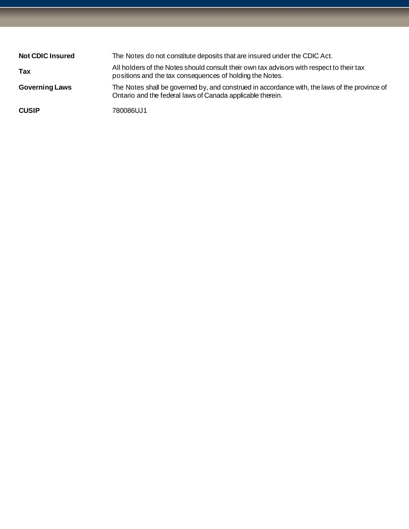| <b>Not CDIC Insured</b> | The Notes do not constitute deposits that are insured under the CDIC Act.                                                                                   |
|-------------------------|-------------------------------------------------------------------------------------------------------------------------------------------------------------|
| Tax                     | All holders of the Notes should consult their own tax advisors with respect to their tax<br>positions and the tax consequences of holding the Notes.        |
| <b>Governing Laws</b>   | The Notes shall be governed by, and construed in accordance with, the laws of the province of<br>Ontario and the federal laws of Canada applicable therein. |
| <b>CUSIP</b>            | 780086UJ1                                                                                                                                                   |